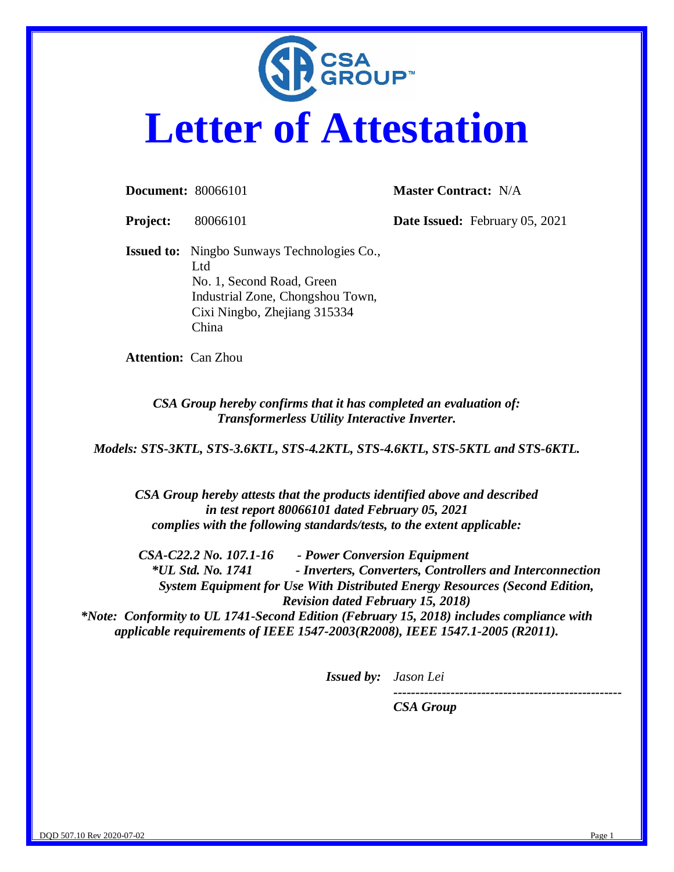

## **Letter of Attestation**

**Document:** 80066101 **Master Contract:** N/A

**Project:** 80066101 **Date Issued:** February 05, 2021

**Issued to:** Ningbo Sunways Technologies Co., Ltd No. 1, Second Road, Green Industrial Zone, Chongshou Town, Cixi Ningbo, Zhejiang 315334 China

**Attention:** Can Zhou

*CSA Group hereby confirms that it has completed an evaluation of: Transformerless Utility Interactive Inverter.*

*Models: STS-3KTL, STS-3.6KTL, STS-4.2KTL, STS-4.6KTL, STS-5KTL and STS-6KTL.*

*CSA Group hereby attests that the products identified above and described in test report 80066101 dated February 05, 2021 complies with the following standards/tests, to the extent applicable:*

*CSA-C22.2 No. 107.1-16 - Power Conversion Equipment \*UL Std. No. 1741 - Inverters, Converters, Controllers and Interconnection System Equipment for Use With Distributed Energy Resources (Second Edition, Revision dated February 15, 2018)*

*\*Note: Conformity to UL 1741-Second Edition (February 15, 2018) includes compliance with applicable requirements of IEEE 1547-2003(R2008), IEEE 1547.1-2005 (R2011).*

*Issued by: Jason Lei*

*----------------------------------------------------*

*CSA Group*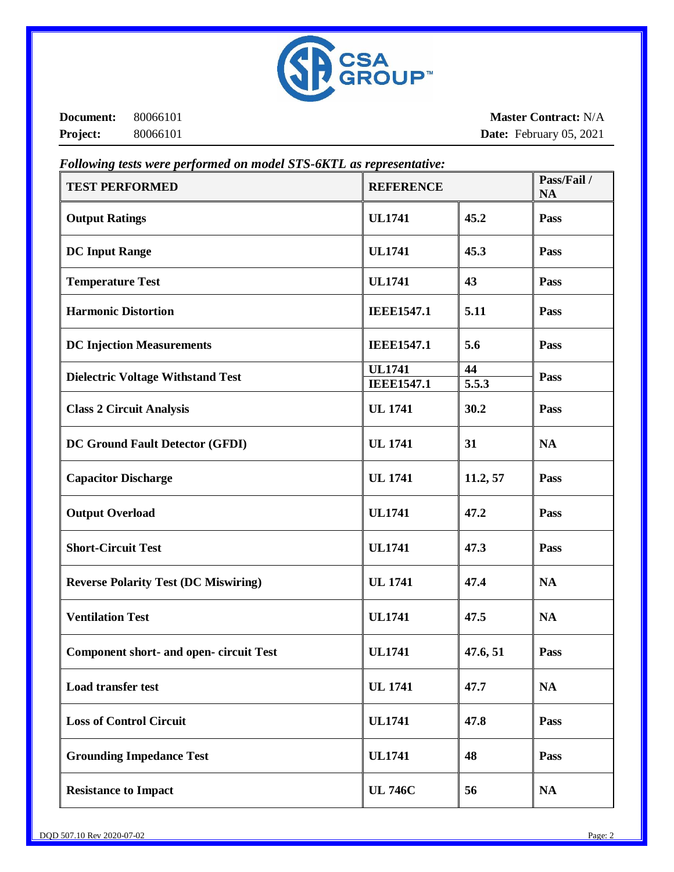

**Document:** 80066101 **Project:** 80066101

**Master Contract:** N/A **Date:** February 05, 2021

| <b>TEST PERFORMED</b>                          | <b>REFERENCE</b>                   |             | Pass/Fail /<br><b>NA</b> |
|------------------------------------------------|------------------------------------|-------------|--------------------------|
| <b>Output Ratings</b>                          | <b>UL1741</b>                      | 45.2        | Pass                     |
| <b>DC Input Range</b>                          | <b>UL1741</b>                      | 45.3        | Pass                     |
| <b>Temperature Test</b>                        | <b>UL1741</b>                      | 43          | Pass                     |
| <b>Harmonic Distortion</b>                     | <b>IEEE1547.1</b>                  | 5.11        | Pass                     |
| <b>DC Injection Measurements</b>               | <b>IEEE1547.1</b>                  | 5.6         | Pass                     |
| <b>Dielectric Voltage Withstand Test</b>       | <b>UL1741</b><br><b>IEEE1547.1</b> | 44<br>5.5.3 | Pass                     |
| <b>Class 2 Circuit Analysis</b>                | <b>UL 1741</b>                     | 30.2        | Pass                     |
| DC Ground Fault Detector (GFDI)                | <b>UL 1741</b>                     | 31          | <b>NA</b>                |
| <b>Capacitor Discharge</b>                     | <b>UL 1741</b>                     | 11.2, 57    | Pass                     |
| <b>Output Overload</b>                         | <b>UL1741</b>                      | 47.2        | Pass                     |
| <b>Short-Circuit Test</b>                      | <b>UL1741</b>                      | 47.3        | Pass                     |
| <b>Reverse Polarity Test (DC Miswiring)</b>    | <b>UL 1741</b>                     | 47.4        | <b>NA</b>                |
| <b>Ventilation Test</b>                        | <b>UL1741</b>                      | 47.5        | <b>NA</b>                |
| <b>Component short- and open- circuit Test</b> | <b>UL1741</b>                      | 47.6, 51    | Pass                     |
| <b>Load transfer test</b>                      | <b>UL 1741</b>                     | 47.7        | <b>NA</b>                |
| <b>Loss of Control Circuit</b>                 | <b>UL1741</b>                      | 47.8        | Pass                     |
| <b>Grounding Impedance Test</b>                | <b>UL1741</b>                      | 48          | Pass                     |
| <b>Resistance to Impact</b>                    | <b>UL 746C</b>                     | 56          | NA                       |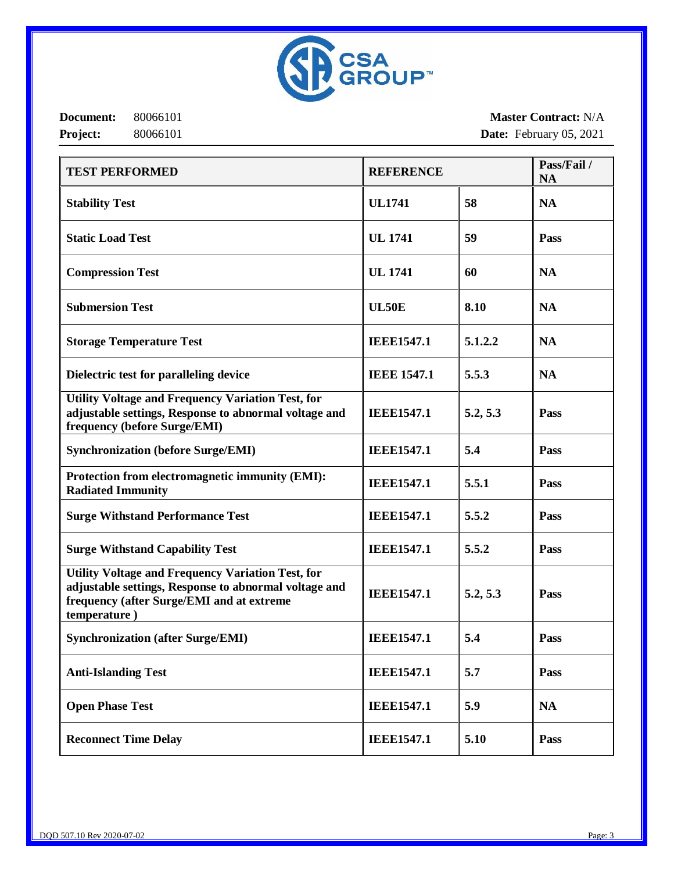

**Document:** 80066101 **Project:** 80066101

**Master Contract:** N/A **Date:** February 05, 2021

| <b>TEST PERFORMED</b>                                                                                                                                                   | <b>REFERENCE</b>   |          | Pass/Fail/<br><b>NA</b> |
|-------------------------------------------------------------------------------------------------------------------------------------------------------------------------|--------------------|----------|-------------------------|
| <b>Stability Test</b>                                                                                                                                                   | <b>UL1741</b>      | 58       | <b>NA</b>               |
| <b>Static Load Test</b>                                                                                                                                                 | <b>UL 1741</b>     | 59       | Pass                    |
| <b>Compression Test</b>                                                                                                                                                 | <b>UL 1741</b>     | 60       | <b>NA</b>               |
| <b>Submersion Test</b>                                                                                                                                                  | <b>UL50E</b>       | 8.10     | <b>NA</b>               |
| <b>Storage Temperature Test</b>                                                                                                                                         | <b>IEEE1547.1</b>  | 5.1.2.2  | <b>NA</b>               |
| Dielectric test for paralleling device                                                                                                                                  | <b>IEEE 1547.1</b> | 5.5.3    | <b>NA</b>               |
| <b>Utility Voltage and Frequency Variation Test, for</b><br>adjustable settings, Response to abnormal voltage and<br>frequency (before Surge/EMI)                       | <b>IEEE1547.1</b>  | 5.2, 5.3 | Pass                    |
| <b>Synchronization (before Surge/EMI)</b>                                                                                                                               | <b>IEEE1547.1</b>  | 5.4      | Pass                    |
| Protection from electromagnetic immunity (EMI):<br><b>Radiated Immunity</b>                                                                                             | <b>IEEE1547.1</b>  | 5.5.1    | Pass                    |
| <b>Surge Withstand Performance Test</b>                                                                                                                                 | <b>IEEE1547.1</b>  | 5.5.2    | Pass                    |
| <b>Surge Withstand Capability Test</b>                                                                                                                                  | <b>IEEE1547.1</b>  | 5.5.2    | Pass                    |
| Utility Voltage and Frequency Variation Test, for<br>adjustable settings, Response to abnormal voltage and<br>frequency (after Surge/EMI and at extreme<br>temperature) | <b>IEEE1547.1</b>  | 5.2, 5.3 | Pass                    |
| <b>Synchronization (after Surge/EMI)</b>                                                                                                                                | <b>IEEE1547.1</b>  | 5.4      | Pass                    |
| <b>Anti-Islanding Test</b>                                                                                                                                              | <b>IEEE1547.1</b>  | 5.7      | Pass                    |
| <b>Open Phase Test</b>                                                                                                                                                  | <b>IEEE1547.1</b>  | 5.9      | <b>NA</b>               |
| <b>Reconnect Time Delay</b>                                                                                                                                             | <b>IEEE1547.1</b>  | 5.10     | Pass                    |